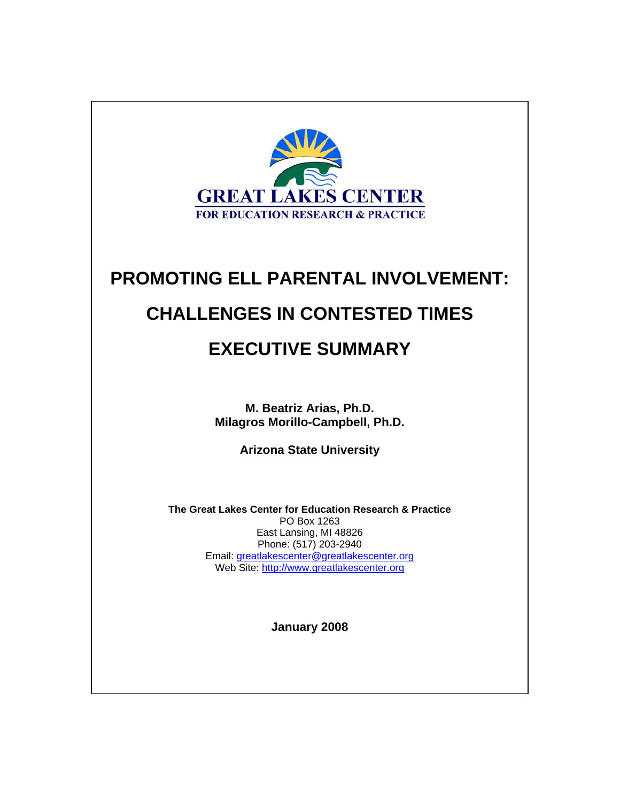

# **PROMOTING ELL PARENTAL INVOLVEMENT:**

# **CHALLENGES IN CONTESTED TIMES**

# **EXECUTIVE SUMMARY**

**M. Beatriz Arias, Ph.D. Milagros Morillo-Campbell, Ph.D.** 

**Arizona State University** 

**The Great Lakes Center for Education Research & Practice**  PO Box 1263 East Lansing, MI 48826 Phone: (517) 203-2940 Email: greatlakescenter@greatlakescenter.org Web Site: http://www.greatlakescenter.org

**January 2008**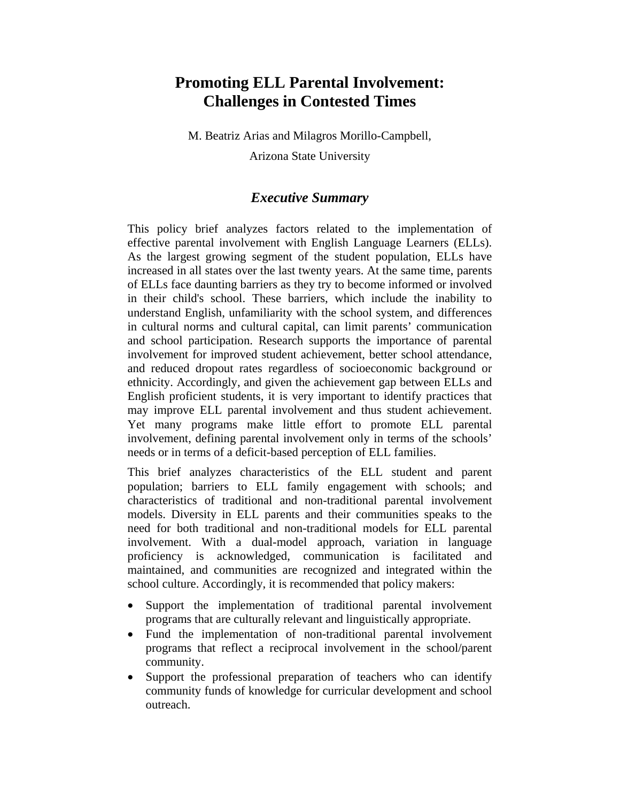### **Promoting ELL Parental Involvement: Challenges in Contested Times**

M. Beatriz Arias and Milagros Morillo-Campbell,

Arizona State University

#### *Executive Summary*

This policy brief analyzes factors related to the implementation of effective parental involvement with English Language Learners (ELLs). As the largest growing segment of the student population, ELLs have increased in all states over the last twenty years. At the same time, parents of ELLs face daunting barriers as they try to become informed or involved in their child's school. These barriers, which include the inability to understand English, unfamiliarity with the school system, and differences in cultural norms and cultural capital, can limit parents' communication and school participation. Research supports the importance of parental involvement for improved student achievement, better school attendance, and reduced dropout rates regardless of socioeconomic background or ethnicity. Accordingly, and given the achievement gap between ELLs and English proficient students, it is very important to identify practices that may improve ELL parental involvement and thus student achievement. Yet many programs make little effort to promote ELL parental involvement, defining parental involvement only in terms of the schools' needs or in terms of a deficit-based perception of ELL families.

This brief analyzes characteristics of the ELL student and parent population; barriers to ELL family engagement with schools; and characteristics of traditional and non-traditional parental involvement models. Diversity in ELL parents and their communities speaks to the need for both traditional and non-traditional models for ELL parental involvement. With a dual-model approach, variation in language proficiency is acknowledged, communication is facilitated and maintained, and communities are recognized and integrated within the school culture. Accordingly, it is recommended that policy makers:

- Support the implementation of traditional parental involvement programs that are culturally relevant and linguistically appropriate.
- Fund the implementation of non-traditional parental involvement programs that reflect a reciprocal involvement in the school/parent community.
- Support the professional preparation of teachers who can identify community funds of knowledge for curricular development and school outreach.